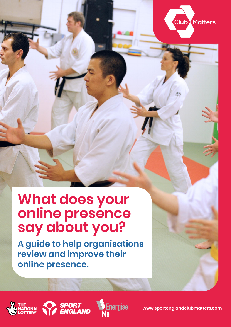

# **What does your online presence say about you?**

**A guide to help organisations review and improve their online presence.** 







**[www.sportenglandclubmatters.com](http://www.sportenglandclubmatters.com/)**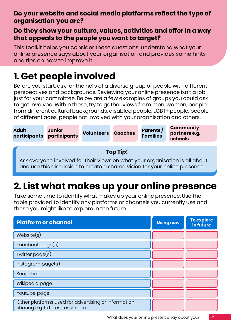## **Do your website and social media platforms reflect the type of organisation you are?**

## **Do they show your culture, values, activities and offer in a way that appeals to the people you want to target?**

This toolkit helps you consider these questions, understand what your online presence says about your organisation and provides some hints and tips on how to improve it.

## **1. Get people involved**

Before you start, ask for the help of a diverse group of people with different perspectives and backgrounds. Reviewing your online presence isn't a job just for your committee. Below are a few examples of groups you could ask to get involved. Within these, try to gather views from men, women, people from different cultural backgrounds, disabled people, LGBT+ people, people of different ages, people not involved with your organisation and others.



# **2. List what makes up your online presence**

Take some time to identify what makes up your online presence. Use the table provided to identify any platforms or channels you currently use and those you might like to explore in the future.

| <b>Platform or channel</b>                                                                 | <b>Using now</b> | To explore<br>in future |
|--------------------------------------------------------------------------------------------|------------------|-------------------------|
| Website(s)                                                                                 |                  |                         |
| Facebook $page(s)$                                                                         |                  |                         |
| Twitter $page(s)$                                                                          |                  |                         |
| Instead from page(s)                                                                       |                  |                         |
| Snapchat                                                                                   |                  |                         |
| Wikipedia page                                                                             |                  |                         |
| Youtube page                                                                               |                  |                         |
| Other platforms used for advertising or information<br>sharing e.g. fixtures, results etc. |                  |                         |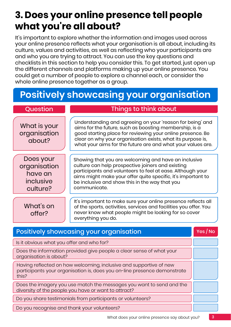## **3. Does your online presence tell people what you're all about?**

It's important to explore whether the information and images used across your online presence reflects what your organisation is all about, including its culture, values and activities, as well as reflecting who your participants are and who you are trying to attract. You can use the key questions and checklists in this section to help you consider this. To get started, just open up the different channels and platforms making up your online presence. You could get a number of people to explore a channel each, or consider the whole online presence together as a group.

## **Positively showcasing your organisation**

What is your organisation about?

## Question Things to think about

Understanding and agreeing on your 'reason for being' and aims for the future, such as boosting membership, is a good starting place for reviewing your online presence. Be clear on why your organisation exists, what its purpose is, what your aims for the future are and what your values are.

Does your organisation have an inclusive culture?

Showing that you are welcoming and have an inclusive culture can help prospective joiners and existing participants and volunteers to feel at ease. Although your aims might make your offer quite specific, it's important to be inclusive and show this in the way that you communicate.

What's on offer?

It's important to make sure your online presence reflects all of the sports, activities, services and facilities you offer. You never know what people might be looking for so cover everything you do.

| <b>Positively showcasing your organisation</b>                                                                                                          |  |
|---------------------------------------------------------------------------------------------------------------------------------------------------------|--|
| Is it obvious what you offer and who for?                                                                                                               |  |
| Does the information provided give people a clear sense of what your<br>organisation is about?                                                          |  |
| Having reflected on how welcoming, inclusive and supportive of new<br>participants your organisation is, does you on-line presence demonstrate<br>this? |  |
| Does the imagery you use match the messages you want to send and the<br>diversity of the people you have or want to attract?                            |  |
| Do you share testimonials from participants or volunteers?                                                                                              |  |
| Do you recognise and thank your volunteers?                                                                                                             |  |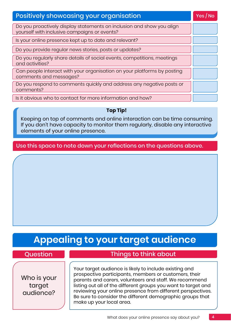| <b>Positively showcasing your organisation</b>                                                                        |  |
|-----------------------------------------------------------------------------------------------------------------------|--|
| Do you proactively display statements on inclusion and show you align<br>yourself with inclusive campaigns or events? |  |
| Is your online presence kept up to date and relevant?                                                                 |  |
| Do you provide regular news stories, posts or updates?                                                                |  |
| Do you regularly share details of social events, competitions, meetings<br>and activities?                            |  |
| Can people interact with your organisation on your platforms by posting<br>comments and messages?                     |  |
| Do you respond to comments quickly and address any negative posts or<br>comments?                                     |  |
| Is it obvious who to contact for more information and how?                                                            |  |

### **Top Tip!**

Keeping on top of comments and online interaction can be time consuming. If you don't have capacity to monitor them regularly, disable any interactive elements of your online presence.

Use this space to note down your reflections on the questions above.

## **Appealing to your target audience**

Who is your target audience?

## Question **Things to think about**

Your target audience is likely to include existing and prospective participants, members or customers, their parents and carers, volunteers and staff. We recommend listing out all of the different groups you want to target and reviewing your online presence from different perspectives. Be sure to consider the different demographic groups that make up your local area.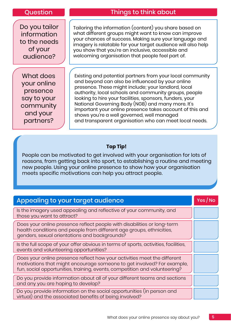Do you tailor information to the needs of your audience?

What does your online presence say to your community and your partners?

## Question Things to think about

Tailoring the information (content) you share based on what different groups might want to know can improve your chances of success. Making sure your language and imagery is relatable for your target audience will also help you show that you're an inclusive, accessible and welcoming organisation that people feel part of.

Existing and potential partners from your local community and beyond can also be influenced by your online presence. These might include; your landlord, local authority, local schools and community groups, people looking to hire your facilities, sponsors, funders, your National Governing Body (NGB) and many more. It's important your online presence takes account of this and shows you're a well governed, well managed and transparent organisation who can meet local needs.

### **Top Tip!**

People can be motivated to get involved with your organisation for lots of reasons, from getting back into sport, to establishing a routine and meeting new people. Using your online presence to show how your organisation meets specific motivations can help you attract people.

| Appealing to your target audience                                                                                                                                                                                                | Yes/No |
|----------------------------------------------------------------------------------------------------------------------------------------------------------------------------------------------------------------------------------|--------|
| Is the imagery used appealing and reflective of your community, and<br>those you want to attract?                                                                                                                                |        |
| Does your online presence reflect people with disabilities or long-term<br>health conditions and people from different age groups, ethnicities,<br>genders, sexual orientations and backgrounds?                                 |        |
| Is the full scope of your offer obvious in terms of sports, activities, facilities,<br>events and volunteering opportunities?                                                                                                    |        |
| Does your online presence reflect how your activities meet the different<br>motivations that might encourage someone to get involved? For example,<br>fun, social opportunities, training, events, competition and volunteering? |        |
| Do you provide information about all of your different teams and sections<br>and any you are hoping to develop?                                                                                                                  |        |
| Do you provide information on the social opportunities (in person and<br>virtual) and the associated benefits of being involved?                                                                                                 |        |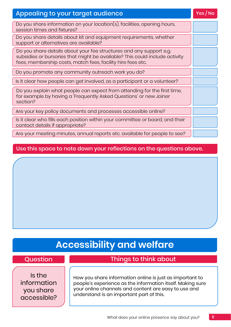| <b>Appealing to your target audience</b>                                                                                                                                                                          |  |
|-------------------------------------------------------------------------------------------------------------------------------------------------------------------------------------------------------------------|--|
| Do you share information on your location(s), facilities, opening hours,<br>session times and fixtures?                                                                                                           |  |
| Do you share details about kit and equipment requirements, whether<br>support or alternatives are available?                                                                                                      |  |
| Do you share details about your fee structures and any support e.g.<br>subsidies or bursaries that might be available? This could include activity<br>fees, membership costs, match fees, facility hire fees etc. |  |
| Do you promote any community outreach work you do?                                                                                                                                                                |  |
| Is it clear how people can get involved, as a participant or a volunteer?                                                                                                                                         |  |
| Do you explain what people can expect from attending for the first time,<br>for example by having a 'Frequently Asked Questions' or new Joiner<br>section?                                                        |  |
| Are your key policy documents and processes accessible online?                                                                                                                                                    |  |
| Is it clear who fills each position within your committee or board, and their<br>contact details if appropriate?                                                                                                  |  |
| Are your meeting minutes, annual reports etc. available for people to see?                                                                                                                                        |  |

### Use this space to note down your reflections on the questions above.

## **Accessibility and welfare**

## Question **Things to think about**

Is the information you share accessible?

How you share information online is just as important to people's experience as the information itself. Making sure your online channels and content are easy to use and understand is an important part of this.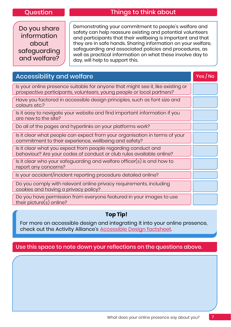## Question Things to think about

Do you share information about safeguarding and welfare?

Demonstrating your commitment to people's welfare and safety can help reassure existing and potential volunteers and participants that their wellbeing is important and that they are in safe hands. Sharing information on your welfare, safeguarding and associated policies and procedures, as well as practical information on what these involve day to day, will help to support this.

| <b>Accessibility and welfare</b>                                                                                                                         |  |
|----------------------------------------------------------------------------------------------------------------------------------------------------------|--|
| Is your online presence suitable for anyone that might see it, like existing or<br>prospective participants, volunteers, young people or local partners? |  |
| Have you factored in accessible design principles, such as font size and<br>colours etc.?                                                                |  |
| Is it easy to navigate your website and find important information if you<br>are new to the site?                                                        |  |
| Do all of the pages and hyperlinks on your platforms work?                                                                                               |  |
| Is it clear what people can expect from your organisation in terms of your<br>commitment to their experience, wellbeing and safety?                      |  |
| Is it clear what you expect from people regarding conduct and<br>behaviour? Are your codes of conduct or club rules available online?                    |  |
| Is it clear who your safeguarding and welfare officer(s) is and how to<br>report any concerns?                                                           |  |
| Is your accident/incident reporting procedure detailed online?                                                                                           |  |
| Do you comply with relevant online privacy requirements, including<br>cookies and having a privacy policy?                                               |  |
| Do you have permission from everyone featured in your images to use<br>their picture $(s)$ online?                                                       |  |

### **Top Tip!**

For more on accessible design and integrating it into your online presence, check out the Activity Alliance's [Accessible Design factsheet.](http://www.activityalliance.org.uk/assets/000/002/312/18704_Activity_Alliance_Factsheet_7_Design_Accessible_original.pdf?1533912787)

### Use this space to note down your reflections on the questions above.